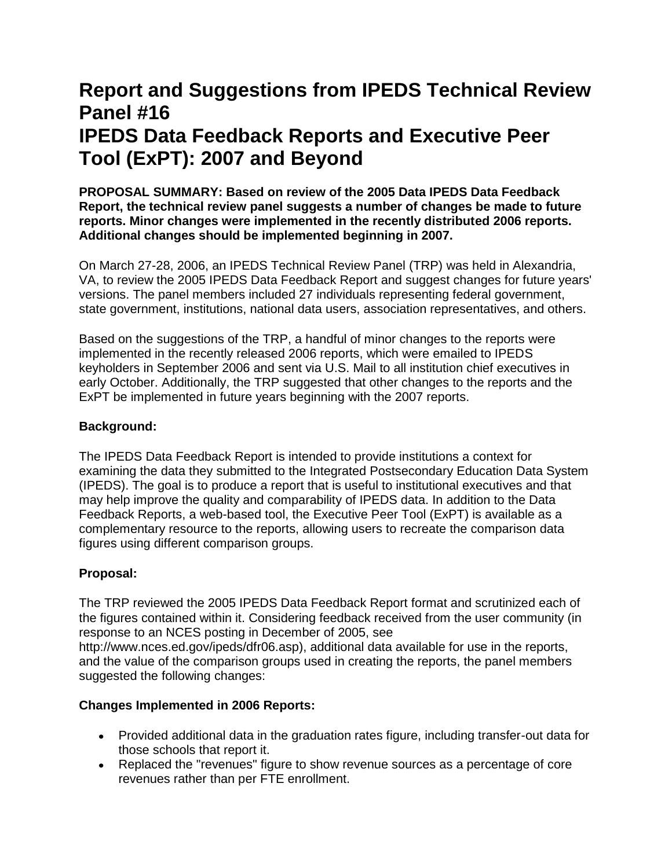# **Report and Suggestions from IPEDS Technical Review Panel #16 IPEDS Data Feedback Reports and Executive Peer Tool (ExPT): 2007 and Beyond**

**PROPOSAL SUMMARY: Based on review of the 2005 Data IPEDS Data Feedback Report, the technical review panel suggests a number of changes be made to future reports. Minor changes were implemented in the recently distributed 2006 reports. Additional changes should be implemented beginning in 2007.**

On March 27-28, 2006, an IPEDS Technical Review Panel (TRP) was held in Alexandria, VA, to review the 2005 IPEDS Data Feedback Report and suggest changes for future years' versions. The panel members included 27 individuals representing federal government, state government, institutions, national data users, association representatives, and others.

Based on the suggestions of the TRP, a handful of minor changes to the reports were implemented in the recently released 2006 reports, which were emailed to IPEDS keyholders in September 2006 and sent via U.S. Mail to all institution chief executives in early October. Additionally, the TRP suggested that other changes to the reports and the ExPT be implemented in future years beginning with the 2007 reports.

### **Background:**

The IPEDS Data Feedback Report is intended to provide institutions a context for examining the data they submitted to the Integrated Postsecondary Education Data System (IPEDS). The goal is to produce a report that is useful to institutional executives and that may help improve the quality and comparability of IPEDS data. In addition to the Data Feedback Reports, a web-based tool, the Executive Peer Tool (ExPT) is available as a complementary resource to the reports, allowing users to recreate the comparison data figures using different comparison groups.

### **Proposal:**

The TRP reviewed the 2005 IPEDS Data Feedback Report format and scrutinized each of the figures contained within it. Considering feedback received from the user community (in response to an NCES posting in December of 2005, see http://www.nces.ed.gov/ipeds/dfr06.asp), additional data available for use in the reports,

and the value of the comparison groups used in creating the reports, the panel members suggested the following changes:

### **Changes Implemented in 2006 Reports:**

- Provided additional data in the graduation rates figure, including transfer-out data for those schools that report it.
- Replaced the "revenues" figure to show revenue sources as a percentage of core revenues rather than per FTE enrollment.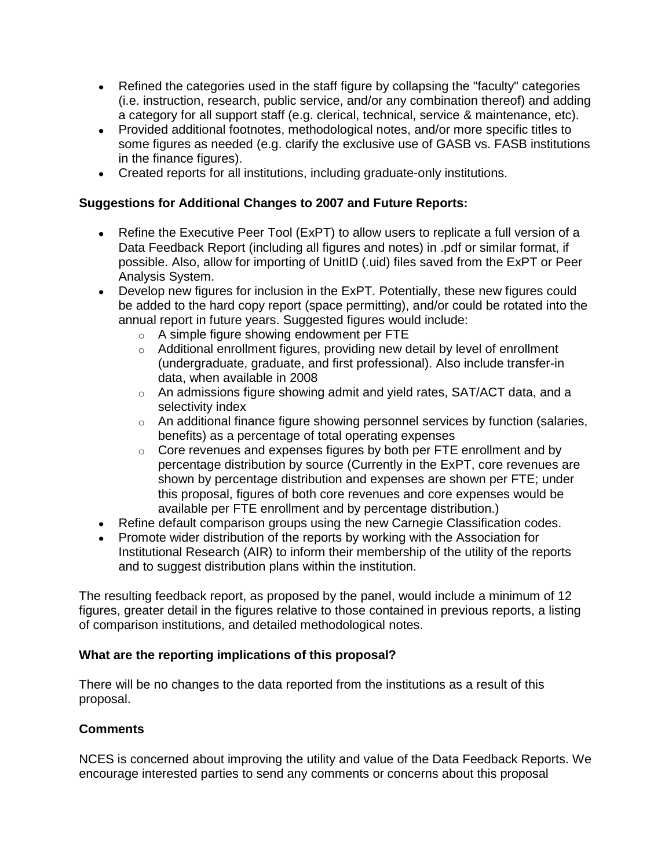- Refined the categories used in the staff figure by collapsing the "faculty" categories (i.e. instruction, research, public service, and/or any combination thereof) and adding a category for all support staff (e.g. clerical, technical, service & maintenance, etc).
- Provided additional footnotes, methodological notes, and/or more specific titles to some figures as needed (e.g. clarify the exclusive use of GASB vs. FASB institutions in the finance figures).
- Created reports for all institutions, including graduate-only institutions.

## **Suggestions for Additional Changes to 2007 and Future Reports:**

- Refine the Executive Peer Tool (ExPT) to allow users to replicate a full version of a  $\bullet$ Data Feedback Report (including all figures and notes) in .pdf or similar format, if possible. Also, allow for importing of UnitID (.uid) files saved from the ExPT or Peer Analysis System.
- Develop new figures for inclusion in the ExPT. Potentially, these new figures could be added to the hard copy report (space permitting), and/or could be rotated into the annual report in future years. Suggested figures would include:
	- o A simple figure showing endowment per FTE
	- o Additional enrollment figures, providing new detail by level of enrollment (undergraduate, graduate, and first professional). Also include transfer-in data, when available in 2008
	- o An admissions figure showing admit and yield rates, SAT/ACT data, and a selectivity index
	- $\circ$  An additional finance figure showing personnel services by function (salaries, benefits) as a percentage of total operating expenses
	- $\circ$  Core revenues and expenses figures by both per FTE enrollment and by percentage distribution by source (Currently in the ExPT, core revenues are shown by percentage distribution and expenses are shown per FTE; under this proposal, figures of both core revenues and core expenses would be available per FTE enrollment and by percentage distribution.)
- Refine default comparison groups using the new Carnegie Classification codes.
- Promote wider distribution of the reports by working with the Association for Institutional Research (AIR) to inform their membership of the utility of the reports and to suggest distribution plans within the institution.

The resulting feedback report, as proposed by the panel, would include a minimum of 12 figures, greater detail in the figures relative to those contained in previous reports, a listing of comparison institutions, and detailed methodological notes.

### **What are the reporting implications of this proposal?**

There will be no changes to the data reported from the institutions as a result of this proposal.

### **Comments**

NCES is concerned about improving the utility and value of the Data Feedback Reports. We encourage interested parties to send any comments or concerns about this proposal